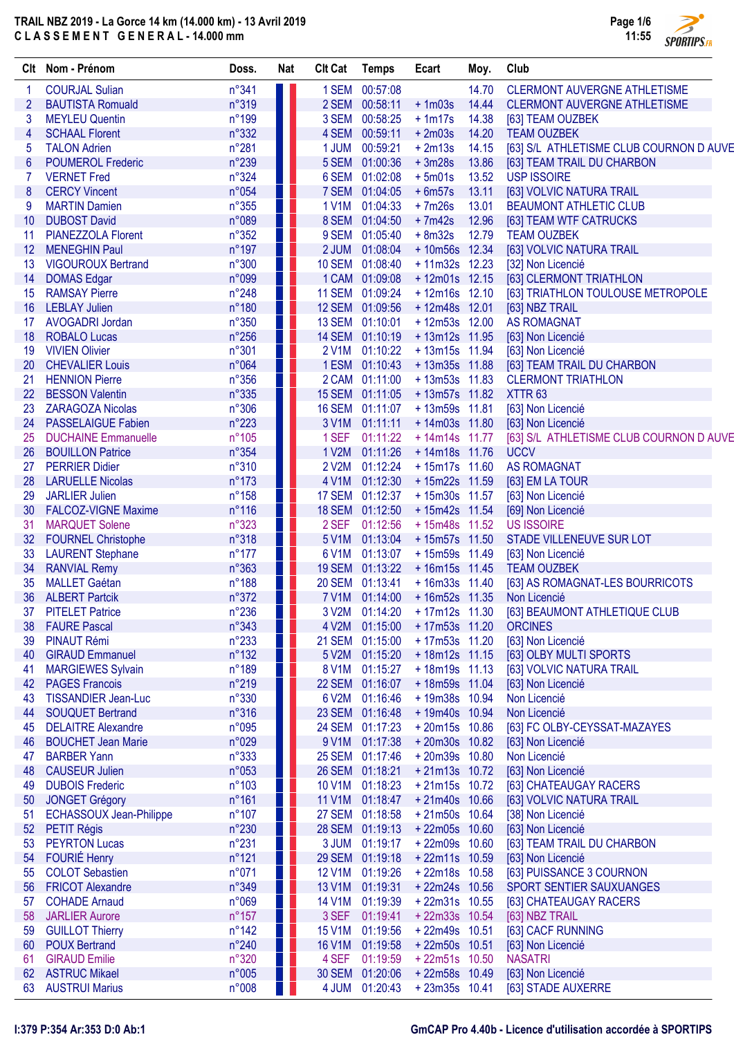## TRAIL NBZ 2019 - La Gorce 14 km (14.000 km) - 13 Avril 2019 C L A S S E M E N T G E N E R A L - 14.000 mm



| Clt             | Nom - Prénom                                          | Doss.           | <b>Nat</b> | <b>CIt Cat</b>         | <b>Temps</b>         | Ecart                            | Moy.  | Club                                            |
|-----------------|-------------------------------------------------------|-----------------|------------|------------------------|----------------------|----------------------------------|-------|-------------------------------------------------|
| 1               | <b>COURJAL Sulian</b>                                 | $n^{\circ}341$  | Ш          |                        | 1 SEM 00:57:08       |                                  | 14.70 | <b>CLERMONT AUVERGNE ATHLETISME</b>             |
| $\overline{2}$  | <b>BAUTISTA Romuald</b>                               | n°319           | Ш          |                        | 2 SEM 00:58:11       | $+1m03s$                         | 14.44 | <b>CLERMONT AUVERGNE ATHLETISME</b>             |
| 3               | <b>MEYLEU Quentin</b>                                 | n°199           | ш          |                        | 3 SEM 00:58:25       | $+1m17s$                         | 14.38 | [63] TEAM OUZBEK                                |
| 4               | <b>SCHAAL Florent</b>                                 | n°332           | Ш          | 4 SEM                  | 00:59:11             | $+2m03s$                         | 14.20 | <b>TEAM OUZBEK</b>                              |
| 5               | <b>TALON Adrien</b>                                   | $n^{\circ}281$  | Ш          | 1 JUM                  | 00:59:21             | $+2m13s$                         | 14.15 | [63] S/L ATHLETISME CLUB COURNON D AUVE         |
| $6\phantom{1}6$ | <b>POUMEROL Frederic</b>                              | $n^{\circ}239$  |            | 5 SEM                  | 01:00:36             | $+3m28s$                         | 13.86 | [63] TEAM TRAIL DU CHARBON                      |
| 7               | <b>VERNET Fred</b>                                    | n°324           | H.         | 6 SEM                  | 01:02:08             | $+5m01s$                         | 13.52 | <b>USP ISSOIRE</b>                              |
| 8               | <b>CERCY Vincent</b>                                  | n°054           | ш          | 7 SEM                  | 01:04:05             | $+6m57s$                         | 13.11 | [63] VOLVIC NATURA TRAIL                        |
| 9               | <b>MARTIN Damien</b>                                  | $n^{\circ}355$  | Ш          | 1 V1M                  | 01:04:33             | $+7m26s$                         | 13.01 | <b>BEAUMONT ATHLETIC CLUB</b>                   |
| 10              | <b>DUBOST David</b>                                   | n°089           |            | 8 SEM                  | 01:04:50             | $+7m42s$                         | 12.96 | [63] TEAM WTF CATRUCKS                          |
| 11              | PIANEZZOLA Florent                                    | $n^{\circ}352$  |            | 9 SEM                  | 01:05:40             | $+8m32s$                         | 12.79 | <b>TEAM OUZBEK</b>                              |
| 12              | <b>MENEGHIN Paul</b>                                  | $n^{\circ}$ 197 | H.         | 2 JUM                  | 01:08:04             | +10m56s 12.34                    |       | [63] VOLVIC NATURA TRAIL                        |
| 13              | <b>VIGOUROUX Bertrand</b>                             | $n^{\circ}300$  | H.         |                        | 10 SEM 01:08:40      | +11m32s 12.23                    |       | [32] Non Licencié                               |
| 14              | <b>DOMAS Edgar</b>                                    | n°099           | Ш          |                        | 1 CAM 01:09:08       | $+12m01s$ 12.15                  |       | [63] CLERMONT TRIATHLON                         |
| 15              | <b>RAMSAY Pierre</b>                                  | $n^{\circ}248$  | Ш          |                        | 11 SEM 01:09:24      | $+12m16s$ 12.10                  |       | [63] TRIATHLON TOULOUSE METROPOLE               |
| 16              | <b>LEBLAY Julien</b>                                  | $n^{\circ}180$  | Ш          |                        | 12 SEM 01:09:56      | +12m48s 12.01                    |       | [63] NBZ TRAIL                                  |
| 17              | <b>AVOGADRI Jordan</b>                                | $n^{\circ}350$  | H.         |                        | 13 SEM 01:10:01      | $+12m53s$ 12.00                  |       | <b>AS ROMAGNAT</b>                              |
| 18              | <b>ROBALO Lucas</b><br><b>VIVIEN Olivier</b>          | $n^{\circ}256$  | Ш<br>ш     | <b>14 SEM</b><br>2 V1M | 01:10:19<br>01:10:22 | $+13m12s$ 11.95                  |       | [63] Non Licencié                               |
| 19<br>20        | <b>CHEVALIER Louis</b>                                | n°301<br>n°064  | п          | 1 ESM                  | 01:10:43             | $+13m15s$ 11.94<br>+13m35s 11.88 |       | [63] Non Licencié<br>[63] TEAM TRAIL DU CHARBON |
| 21              | <b>HENNION Pierre</b>                                 | $n^{\circ}356$  | Ш          |                        | 2 CAM 01:11:00       | $+13m53s$ 11.83                  |       | <b>CLERMONT TRIATHLON</b>                       |
| 22              | <b>BESSON Valentin</b>                                | n°335           | w          | <b>15 SEM</b>          | 01:11:05             | $+13m57s$ 11.82                  |       | XTTR <sub>63</sub>                              |
| 23              | <b>ZARAGOZA Nicolas</b>                               | $n^{\circ}306$  | Ш          |                        | 16 SEM 01:11:07      | +13m59s 11.81                    |       | [63] Non Licencié                               |
| 24              | <b>PASSELAIGUE Fabien</b>                             | $n^{\circ}223$  | ш          | 3 V1M                  | 01:11:11             | +14m03s 11.80                    |       | [63] Non Licencié                               |
| 25              | <b>DUCHAINE Emmanuelle</b>                            | $n^{\circ}105$  | ш          | 1 SEF                  | 01:11:22             | $+14m14s$ 11.77                  |       | [63] S/L ATHLETISME CLUB COURNON D AUVE         |
| 26              | <b>BOUILLON Patrice</b>                               | n°354           | ш          | 1 V2M                  | 01:11:26             | $+14m18s$ 11.76                  |       | <b>UCCV</b>                                     |
| 27              | <b>PERRIER Didier</b>                                 | n°310           |            | 2 V2M                  | 01:12:24             | $+15m17s$ 11.60                  |       | <b>AS ROMAGNAT</b>                              |
| 28              | <b>LARUELLE Nicolas</b>                               | $n^{\circ}173$  | Ш          | 4 V1M                  | 01:12:30             | +15m22s 11.59                    |       | [63] EM LA TOUR                                 |
| 29              | <b>JARLIER Julien</b>                                 | $n^{\circ}158$  |            |                        | 17 SEM 01:12:37      | $+15m30s$ 11.57                  |       | [63] Non Licencié                               |
| 30              | <b>FALCOZ-VIGNE Maxime</b>                            | $n^{\circ}116$  | Ш          | <b>18 SEM</b>          | 01:12:50             | +15m42s 11.54                    |       | [69] Non Licencié                               |
| 31              | <b>MARQUET Solene</b>                                 | n°323           | ш          | 2 SEF                  | 01:12:56             | $+15m48s$ 11.52                  |       | <b>US ISSOIRE</b>                               |
| 32              | <b>FOURNEL Christophe</b>                             | $n^{\circ}318$  |            | 5 V1M                  | 01:13:04             | $+15m57s$ 11.50                  |       | STADE VILLENEUVE SUR LOT                        |
| 33              | <b>LAURENT Stephane</b>                               | $n^{\circ}177$  | HL         | 6 V1M                  | 01:13:07             | $+15m59s$ 11.49                  |       | [63] Non Licencié                               |
| 34              | <b>RANVIAL Remy</b>                                   | n°363           | w          | <b>19 SEM</b>          | 01:13:22             | $+16m15s$ 11.45                  |       | <b>TEAM OUZBEK</b>                              |
| 35              | <b>MALLET Gaétan</b>                                  | n°188           | ш          | <b>20 SEM</b>          | 01:13:41             | $+16m33s$ 11.40                  |       | [63] AS ROMAGNAT-LES BOURRICOTS                 |
| 36              | <b>ALBERT Partcik</b>                                 | n°372           | Ш          |                        | 7 V1M 01:14:00       | $+16m52s$ 11.35                  |       | Non Licencié                                    |
| 37              | <b>PITELET Patrice</b>                                | n°236           |            |                        | 3 V2M 01:14:20       | + 17m12s 11.30                   |       | [63] BEAUMONT ATHLETIQUE CLUB                   |
| 38              | <b>FAURE Pascal</b>                                   | n°343           |            |                        | 4 V2M 01:15:00       | $+17m53s$ 11.20                  |       | <b>ORCINES</b>                                  |
| 39              | <b>PINAUT Rémi</b>                                    | $n^{\circ}233$  |            |                        | 21 SEM 01:15:00      | +17m53s 11.20                    |       | [63] Non Licencié                               |
| 40              | <b>GIRAUD Emmanuel</b>                                | $n^{\circ}132$  | ш          | 5 V2M                  | 01:15:20             | $+18m12s$ 11.15                  |       | [63] OLBY MULTI SPORTS                          |
| 41              | <b>MARGIEWES Sylvain</b>                              | $n^{\circ}189$  | ш          |                        | 8 V1M 01:15:27       | $+18m19s$ 11.13                  |       | [63] VOLVIC NATURA TRAIL                        |
| 42              | <b>PAGES Francois</b>                                 | $n^{\circ}219$  | Ш          |                        | 22 SEM 01:16:07      | +18m59s 11.04                    |       | [63] Non Licencié                               |
| 43<br>44        | <b>TISSANDIER Jean-Luc</b><br><b>SOUQUET Bertrand</b> | n°330<br>n°316  |            | 6 V2M<br><b>23 SEM</b> | 01:16:46<br>01:16:48 | +19m38s 10.94<br>+19m40s 10.94   |       | Non Licencié<br>Non Licencié                    |
| 45              | <b>DELAITRE Alexandre</b>                             | n°095           |            | 24 SEM                 | 01:17:23             | +20m15s 10.86                    |       | [63] FC OLBY-CEYSSAT-MAZAYES                    |
| 46              | <b>BOUCHET Jean Marie</b>                             | n°029           |            | 9 V1M                  | 01:17:38             | +20m30s 10.82                    |       | [63] Non Licencié                               |
| 47              | <b>BARBER Yann</b>                                    | $n^{\circ}333$  |            | <b>25 SEM</b>          | 01:17:46             | +20m39s 10.80                    |       | Non Licencié                                    |
| 48              | <b>CAUSEUR Julien</b>                                 | n°053           |            | <b>26 SEM</b>          | 01:18:21             | $+21m13s$ 10.72                  |       | [63] Non Licencié                               |
| 49              | <b>DUBOIS Frederic</b>                                | $n^{\circ}103$  |            | 10 V1M                 | 01:18:23             | $+21m15s$ 10.72                  |       | [63] CHATEAUGAY RACERS                          |
| 50              | <b>JONGET Grégory</b>                                 | $n^{\circ}161$  |            | <b>11 V1M</b>          | 01:18:47             | +21m40s 10.66                    |       | [63] VOLVIC NATURA TRAIL                        |
| 51              | <b>ECHASSOUX Jean-Philippe</b>                        | $n^{\circ}107$  | Ш          |                        | 27 SEM 01:18:58      | $+21m50s$ 10.64                  |       | [38] Non Licencié                               |
| 52              | PETIT Régis                                           | n°230           |            | <b>28 SEM</b>          | 01:19:13             | +22m05s 10.60                    |       | [63] Non Licencié                               |
| 53              | <b>PEYRTON Lucas</b>                                  | $n^{\circ}231$  | ш          | 3 JUM                  | 01:19:17             | $+22m09s$ 10.60                  |       | [63] TEAM TRAIL DU CHARBON                      |
| 54              | <b>FOURIÉ Henry</b>                                   | $n^{\circ}121$  | w          |                        | 29 SEM 01:19:18      | +22m11s 10.59                    |       | [63] Non Licencié                               |
| 55              | <b>COLOT Sebastien</b>                                | n°071           | Ш          | <b>12 V1M</b>          | 01:19:26             | $+22m18s$ 10.58                  |       | [63] PUISSANCE 3 COURNON                        |
| 56              | <b>FRICOT Alexandre</b>                               | n°349           | Ш          | 13 V1M                 | 01:19:31             | $+22m24s$ 10.56                  |       | SPORT SENTIER SAUXUANGES                        |
| 57              | <b>COHADE Arnaud</b>                                  | n°069           | w          | <b>14 V1M</b>          | 01:19:39             | $+22m31s$ 10.55                  |       | [63] CHATEAUGAY RACERS                          |
| 58              | <b>JARLIER Aurore</b>                                 | $n^{\circ}157$  |            | 3 SEF                  | 01:19:41             | $+22m33s$ 10.54                  |       | [63] NBZ TRAIL                                  |
| 59              | <b>GUILLOT Thierry</b>                                | $n^{\circ}$ 142 | w          | 15 V1M                 | 01:19:56             | $+22m49s$ 10.51                  |       | [63] CACF RUNNING                               |
| 60              | <b>POUX Bertrand</b>                                  | $n^{\circ}240$  | ш          | <b>16 V1M</b>          | 01:19:58             | $+22m50s$ 10.51                  |       | [63] Non Licencié                               |
| 61              | <b>GIRAUD Emilie</b>                                  | n°320           | ш          | 4 SEF                  | 01:19:59             | $+22m51s$ 10.50                  |       | <b>NASATRI</b>                                  |
| 62              | <b>ASTRUC Mikael</b>                                  | n°005           |            | <b>30 SEM</b>          | 01:20:06             | $+22m58s$ 10.49                  |       | [63] Non Licencié                               |
| 63              | <b>AUSTRUI Marius</b>                                 | n°008           |            | 4 JUM                  | 01:20:43             | $+23m35s$ 10.41                  |       | [63] STADE AUXERRE                              |

# I:379 P:354 Ar:353 D:0 Ab:1 GmCAP Pro 4.40b - Licence d'utilisation accordée à SPORTIPS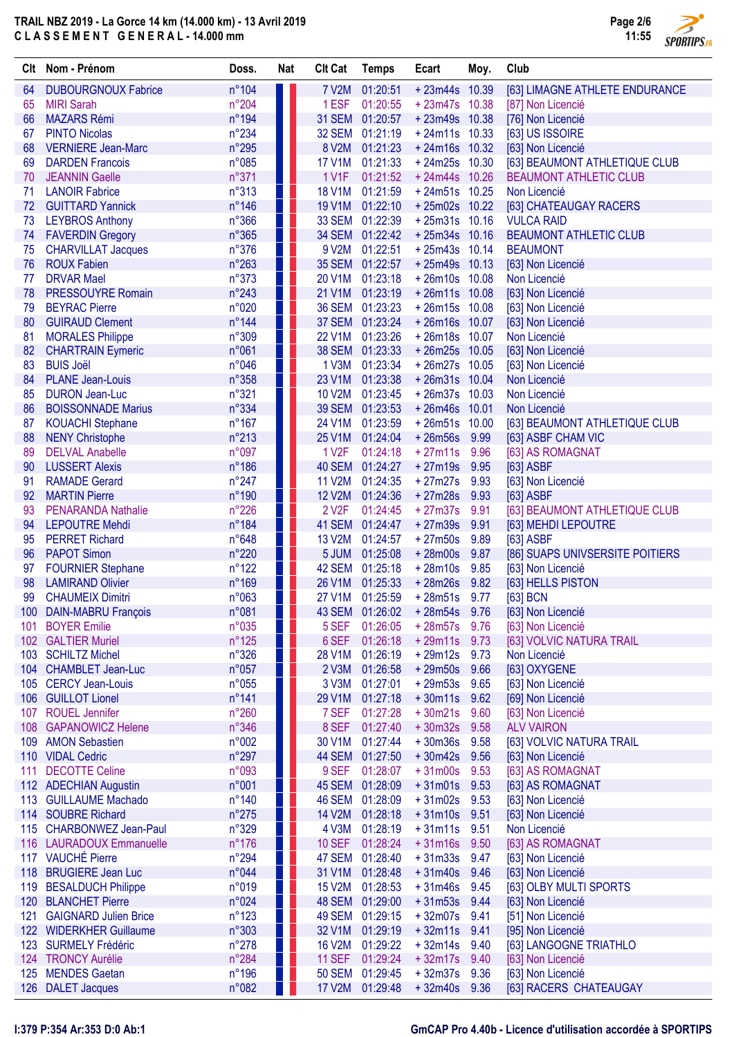## TRAIL NBZ 2019 - La Gorce 14 km (14.000 km) - 13 Avril 2019 C L A S S E M E N T G E N E R A L - 14.000 mm



 $\overline{\phantom{a}}$ 

| Clt      | Nom - Prénom                                       | Doss.                   | <b>Nat</b> | <b>Clt Cat</b>                      | <b>Temps</b>         | Ecart                  | Moy.         | Club                             |
|----------|----------------------------------------------------|-------------------------|------------|-------------------------------------|----------------------|------------------------|--------------|----------------------------------|
| 64       | <b>DUBOURGNOUX Fabrice</b>                         | n°104                   |            | <b>7 V2M</b>                        | 01:20:51             | $+23m44s$ 10.39        |              | [63] LIMAGNE ATHLETE ENDURANCE   |
| 65       | <b>MIRI Sarah</b>                                  | $n^{\circ}204$          |            | 1 ESF                               | 01:20:55             | $+23m47s$ 10.38        |              | [87] Non Licencié                |
| 66       | <b>MAZARS Rémi</b>                                 | n°194                   |            | <b>31 SEM</b>                       | 01:20:57             | $+23m49s$ 10.38        |              | [76] Non Licencié                |
| 67       | <b>PINTO Nicolas</b>                               | $n^{\circ}234$          |            | <b>32 SEM</b>                       | 01:21:19             | $+24m11s$ 10.33        |              | [63] US ISSOIRE                  |
| 68       | <b>VERNIERE Jean-Marc</b>                          | n°295                   |            | 8 V2M                               | 01:21:23             | $+24m16s$ 10.32        |              | [63] Non Licencié                |
| 69       | <b>DARDEN Francois</b>                             | n°085                   | . .        | <b>17 V1M</b>                       | 01:21:33             | $+24m25s$ 10.30        |              | [63] BEAUMONT ATHLETIQUE CLUB    |
| 70       | <b>JEANNIN Gaelle</b>                              | n°371                   |            | <b>1 V1F</b>                        | 01:21:52             | $+24m44s$ 10.26        |              | <b>BEAUMONT ATHLETIC CLUB</b>    |
| 71       | <b>LANOIR Fabrice</b>                              | n°313                   | ш          | <b>18 V1M</b>                       | 01:21:59             | $+24m51s$ 10.25        |              | Non Licencié                     |
| 72       | <b>GUITTARD Yannick</b>                            | $n^{\circ}$ 146         | . .        | <b>19 V1M</b>                       | 01:22:10             | +25m02s 10.22          |              | [63] CHATEAUGAY RACERS           |
| 73       | <b>LEYBROS Anthony</b>                             | n°366                   |            | <b>33 SEM</b>                       | 01:22:39             | $+25m31s$ 10.16        |              | <b>VULCA RAID</b>                |
| 74       | <b>FAVERDIN Gregory</b>                            | n°365                   |            | <b>34 SEM</b>                       | 01:22:42             | $+25m34s$ 10.16        |              | <b>BEAUMONT ATHLETIC CLUB</b>    |
| 75       | <b>CHARVILLAT Jacques</b>                          | n°376                   |            | 9 V2M                               | 01:22:51             | $+25m43s$ 10.14        |              | <b>BEAUMONT</b>                  |
| 76       | <b>ROUX Fabien</b>                                 | $n^{\circ}263$          | w          | <b>35 SEM</b>                       | 01:22:57             | $+25m49s$ 10.13        |              | [63] Non Licencié                |
| 77       | <b>DRVAR Mael</b>                                  | n°373                   | ш          | 20 V1M                              | 01:23:18             | +26m10s 10.08          |              | Non Licencié                     |
| 78       | <b>PRESSOUYRE Romain</b>                           | $n^{\circ}243$          | . .        | 21 V1M                              | 01:23:19             | $+26m11s$ 10.08        |              | [63] Non Licencié                |
| 79       | <b>BEYRAC Pierre</b>                               | n°020                   | ш          | <b>36 SEM</b>                       | 01:23:23             | $+26m15s$ 10.08        |              | [63] Non Licencié                |
| 80       | <b>GUIRAUD Clement</b>                             | $n^{\circ}$ 144         |            | <b>37 SEM</b>                       | 01:23:24             | +26m16s 10.07          |              | [63] Non Licencié                |
| 81       | <b>MORALES Philippe</b>                            | n°309                   |            | <b>22 V1M</b>                       | 01:23:26             | $+26m18s$ 10.07        |              | Non Licencié                     |
| 82       | <b>CHARTRAIN Eymeric</b>                           | n°061                   |            | <b>38 SEM</b>                       | 01:23:33             | $+26m25s$ 10.05        |              | [63] Non Licencié                |
| 83       | <b>BUIS Joël</b>                                   | n°046                   |            | 1 V3M                               | 01:23:34             | $+26m27s$ 10.05        |              | [63] Non Licencié                |
| 84       | <b>PLANE Jean-Louis</b>                            | n°358                   |            | 23 V1M                              | 01:23:38             | +26m31s 10.04          |              | Non Licencié                     |
| 85       | <b>DURON Jean-Luc</b>                              | n°321                   |            | <b>10 V2M</b>                       | 01:23:45             | +26m37s 10.03          |              | Non Licencié                     |
| 86       | <b>BOISSONNADE Marius</b>                          | n°334                   |            | <b>39 SEM</b>                       | 01:23:53             | $+26m46s$ 10.01        |              | Non Licencié                     |
| 87       | <b>KOUACHI Stephane</b>                            | $n^{\circ}167$          |            | 24 V1M                              | 01:23:59             | $+26m51s$ 10.00        |              | [63] BEAUMONT ATHLETIQUE CLUB    |
| 88       | <b>NENY Christophe</b>                             | $n^{\circ}213$          |            | 25 V1M                              | 01:24:04             | $+26m56s$              | 9.99         | [63] ASBF CHAM VIC               |
| 89       | <b>DELVAL Anabelle</b>                             | n°097                   |            | 1 V <sub>2</sub> F                  | 01:24:18             | $+27m11s$              | 9.96         | [63] AS ROMAGNAT                 |
| 90       | <b>LUSSERT Alexis</b>                              | $n^{\circ}186$          |            | 40 SEM                              | 01:24:27             | $+27m19s$              | 9.95         | [63] ASBF                        |
| 91       | <b>RAMADE Gerard</b>                               | $n^{\circ}247$          |            | <b>11 V2M</b>                       | 01:24:35             | $+27m27s$              | 9.93         | [63] Non Licencié                |
| 92       | <b>MARTIN Pierre</b>                               | n°190                   |            | <b>12 V2M</b><br>2 V <sub>2</sub> F | 01:24:36             | $+27m28s$              | 9.93         | [63] ASBF                        |
| 93       | <b>PENARANDA Nathalie</b><br><b>LEPOUTRE Mehdi</b> | $n^{\circ}226$<br>n°184 |            | 41 SEM                              | 01:24:45<br>01:24:47 | $+27m37s$<br>$+27m39s$ | 9.91<br>9.91 | [63] BEAUMONT ATHLETIQUE CLUB    |
| 94<br>95 | <b>PERRET Richard</b>                              | n°648                   |            | 13 V2M                              | 01:24:57             | $+27m50s$              | 9.89         | [63] MEHDI LEPOUTRE<br>[63] ASBF |
| 96       | <b>PAPOT Simon</b>                                 | $n^{\circ}220$          | . .        | 5 JUM                               | 01:25:08             | $+28m00s$              | 9.87         | [86] SUAPS UNIVSERSITE POITIERS  |
| 97       | <b>FOURNIER Stephane</b>                           | $n^{\circ}122$          | . .        | 42 SEM                              | 01:25:18             | $+28m10s$              | 9.85         | [63] Non Licencié                |
| 98       | <b>LAMIRAND Olivier</b>                            | n°169                   |            | 26 V1M                              | 01:25:33             | $+28m26s$              | 9.82         | [63] HELLS PISTON                |
| 99       | <b>CHAUMEIX Dimitri</b>                            | n°063                   |            | <b>27 V1M</b>                       | 01:25:59             | $+28m51s$              | 9.77         | [63] BCN                         |
|          | 100 DAIN-MABRU François                            | n°081                   |            |                                     | 43 SEM 01:26:02      | +28m54s 9.76           |              | [63] Non Licencié                |
| 101      | <b>BOYER Emilie</b>                                | n°035                   |            | 5 SEF                               | 01:26:05             | + 28m57s               | 9.76         | [63] Non Licencié                |
|          | 102 GALTIER Muriel                                 | $n^{\circ}125$          |            | 6 SEF                               | 01:26:18             | $+29m11s$              | 9.73         | [63] VOLVIC NATURA TRAIL         |
|          | 103 SCHILTZ Michel                                 | n°326                   |            | 28 V1M                              | 01:26:19             | $+29m12s$              | 9.73         | Non Licencié                     |
|          | 104 CHAMBLET Jean-Luc                              | n°057                   |            | 2 <sub>V3M</sub>                    | 01:26:58             | $+29m50s$              | 9.66         | [63] OXYGENE                     |
|          | 105 CERCY Jean-Louis                               | n°055                   |            | 3 V3M                               | 01:27:01             | $+29m53s$              | 9.65         | [63] Non Licencié                |
|          | 106 GUILLOT Lionel                                 | n°141                   |            | 29 V1M                              | 01:27:18             | $+30m11s$              | 9.62         | [69] Non Licencié                |
|          | 107 ROUEL Jennifer                                 | n°260                   |            | 7 SEF                               | 01:27:28             | $+30m21s$              | 9.60         | [63] Non Licencié                |
| 108      | <b>GAPANOWICZ Helene</b>                           | n°346                   |            | 8 SEF                               | 01:27:40             | $+30m32s$              | 9.58         | <b>ALV VAIRON</b>                |
| 109      | <b>AMON Sebastien</b>                              | n°002                   |            | 30 V1M                              | 01:27:44             | $+30m36s$              | 9.58         | [63] VOLVIC NATURA TRAIL         |
|          | 110 VIDAL Cedric                                   | n°297                   |            | <b>44 SEM</b>                       | 01:27:50             | $+30m42s$              | 9.56         | [63] Non Licencié                |
| 111      | <b>DECOTTE Celine</b>                              | n°093                   |            | 9 SEF                               | 01:28:07             | $+31m00s$              | 9.53         | [63] AS ROMAGNAT                 |
|          | 112 ADECHIAN Augustin                              | n°001                   |            | 45 SEM                              | 01:28:09             | $+31m01s$              | 9.53         | [63] AS ROMAGNAT                 |
|          | 113 GUILLAUME Machado                              | $n^{\circ}$ 140         |            | 46 SEM                              | 01:28:09             | $+31m02s$              | 9.53         | [63] Non Licencié                |
|          | 114 SOUBRE Richard                                 | $n^{\circ}275$          |            | <b>14 V2M</b>                       | 01:28:18             | $+31m10s$              | 9.51         | [63] Non Licencié                |
|          | 115 CHARBONWEZ Jean-Paul                           | n°329                   |            | 4 V3M                               | 01:28:19             | $+31m11s$              | 9.51         | Non Licencié                     |
|          | 116 LAURADOUX Emmanuelle                           | $n^{\circ}176$          |            | <b>10 SEF</b>                       | 01:28:24             | $+31m16s$              | 9.50         | [63] AS ROMAGNAT                 |
|          | 117 VAUCHÉ Pierre                                  | n°294                   |            | 47 SEM                              | 01:28:40             | $+31m33s$              | 9.47         | [63] Non Licencié                |
|          | 118 BRUGIERE Jean Luc                              | n°044                   |            | 31 V1M                              | 01:28:48             | $+31m40s$              | 9.46         | [63] Non Licencié                |
|          | 119 BESALDUCH Philippe                             | n°019                   |            | <b>15 V2M</b>                       | 01:28:53             | $+31m46s$              | 9.45         | [63] OLBY MULTI SPORTS           |
|          | 120 BLANCHET Pierre                                | n°024                   |            | <b>48 SEM</b>                       | 01:29:00             | $+31m53s$              | 9.44         | [63] Non Licencié                |
|          | 121 GAIGNARD Julien Brice                          | $n^{\circ}123$          | 10         | <b>49 SEM</b>                       | 01:29:15             | $+32m07s$              | 9.41         | [51] Non Licencié                |
|          | 122 WIDERKHER Guillaume                            | n°303                   |            | 32 V1M                              | 01:29:19             | $+32m11s$              | 9.41         | [95] Non Licencié                |
|          | 123 SURMELY Frédéric                               | $n^{\circ}278$          | ш          | <b>16 V2M</b>                       | 01:29:22             | $+32m14s$              | 9.40         | [63] LANGOGNE TRIATHLO           |
|          | 124 TRONCY Aurélie                                 | $n^{\circ}284$          |            | <b>11 SEF</b>                       | 01:29:24             | $+32m17s$              | 9.40         | [63] Non Licencié                |
|          | 125 MENDES Gaetan                                  | $n^{\circ}$ 196         |            | <b>50 SEM</b>                       | 01:29:45             | $+32m37s$              | 9.36         | [63] Non Licencié                |
|          | 126 DALET Jacques                                  | n°082                   | a pro      | <b>17 V2M</b>                       | 01:29:48             | $+32m40s$ 9.36         |              | [63] RACERS CHATEAUGAY           |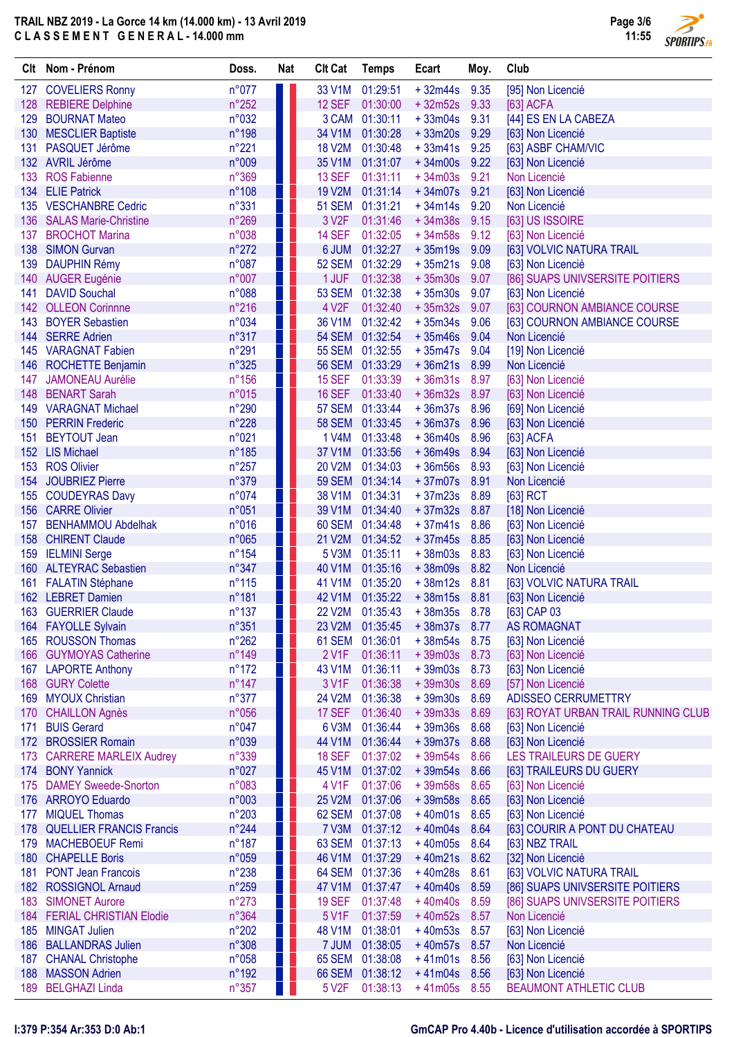

Page 3/6

|     | Clt Nom - Prénom                             | Doss.                   | <b>Nat</b> | <b>Clt Cat</b>     | <b>Temps</b>         | Ecart                  | Moy.         | Club                                |
|-----|----------------------------------------------|-------------------------|------------|--------------------|----------------------|------------------------|--------------|-------------------------------------|
|     | 127 COVELIERS Ronny                          | n°077                   |            | 33 V1M             | 01:29:51             | $+32m44s$              | 9.35         | [95] Non Licencié                   |
|     | 128 REBIERE Delphine                         | $n^{\circ}252$          |            | 12 SEF             | 01:30:00             | $+32m52s$              | 9.33         | [63] ACFA                           |
|     | 129 BOURNAT Mateo                            | n°032                   |            | 3 CAM              | 01:30:11             | $+33m04s$              | 9.31         | [44] ES EN LA CABEZA                |
|     | 130 MESCLIER Baptiste                        | n°198                   |            | 34 V1M             | 01:30:28             | $+33m20s$              | 9.29         | [63] Non Licencié                   |
| 131 | PASQUET Jérôme                               | n°221                   |            | <b>18 V2M</b>      | 01:30:48             | $+33m41s$              | 9.25         | [63] ASBF CHAM/VIC                  |
|     | 132 AVRIL Jérôme                             | n°009                   |            | 35 V1M             | 01:31:07             | $+34m00s$              | 9.22         | [63] Non Licencié                   |
| 133 | <b>ROS Fabienne</b>                          | n°369                   |            | 13 SEF             | 01:31:11             | $+34m03s$              | 9.21         | Non Licencié                        |
| 134 | <b>ELIE Patrick</b>                          | n°108                   |            | <b>19 V2M</b>      | 01:31:14             | $+34m07s$              | 9.21         | [63] Non Licencié                   |
|     | 135 VESCHANBRE Cedric                        | n°331                   |            | <b>51 SEM</b>      | 01:31:21             | $+34m14s$              | 9.20         | Non Licencié                        |
|     | 136 SALAS Marie-Christine                    | n°269                   |            | 3 V <sub>2</sub> F | 01:31:46             | $+34m38s$              | 9.15         | [63] US ISSOIRE                     |
| 137 | <b>BROCHOT Marina</b>                        | n°038                   |            | <b>14 SEF</b>      | 01:32:05             | $+34m58s$              | 9.12         | [63] Non Licencié                   |
|     | 138 SIMON Gurvan                             | $n^{\circ}272$          |            | 6 JUM              | 01:32:27             | $+35m19s$              | 9.09         | [63] VOLVIC NATURA TRAIL            |
|     | 139 DAUPHIN Rémy                             | n°087                   |            | <b>52 SEM</b>      | 01:32:29             | $+35m21s$              | 9.08         | [63] Non Licencié                   |
|     | 140 AUGER Eugénie                            | n°007                   |            | 1 JUF              | 01:32:38             | $+35m30s$              | 9.07         | [86] SUAPS UNIVSERSITE POITIERS     |
| 141 | <b>DAVID Souchal</b>                         | n°088                   |            | <b>53 SEM</b>      | 01:32:38             | $+35m30s$              | 9.07         | [63] Non Licencié                   |
| 142 | <b>OLLEON Corinnne</b>                       | $n^{\circ}216$          |            | 4 V <sub>2</sub> F | 01:32:40             | $+35m32s$              | 9.07         | [63] COURNON AMBIANCE COURSE        |
|     | 143 BOYER Sebastien                          | n°034                   |            | 36 V1M             | 01:32:42             | $+35m34s$              | 9.06         | [63] COURNON AMBIANCE COURSE        |
| 144 | <b>SERRE Adrien</b>                          | n°317                   |            | <b>54 SEM</b>      | 01:32:54             | $+35m46s$              | 9.04         | Non Licencié                        |
|     | 145 VARAGNAT Fabien                          | n°291                   |            | <b>55 SEM</b>      | 01:32:55             | $+35m47s$              | 9.04         | [19] Non Licencié                   |
|     | 146 ROCHETTE Benjamin                        | n°325                   |            | <b>56 SEM</b>      | 01:33:29             | $+36m21s$              | 8.99         | Non Licencié                        |
| 147 | <b>JAMONEAU Aurélie</b>                      | $n^{\circ}156$          |            | <b>15 SEF</b>      | 01:33:39             | $+36m31s$              | 8.97         | [63] Non Licencié                   |
| 148 | <b>BENART Sarah</b>                          | n°015                   |            | <b>16 SEF</b>      | 01:33:40             | $+36m32s$              | 8.97         | [63] Non Licencié                   |
|     | 149 VARAGNAT Michael                         | n°290                   |            | <b>57 SEM</b>      | 01:33:44             | $+36m37s$              | 8.96         | [69] Non Licencié                   |
|     | 150 PERRIN Frederic                          | n°228                   |            | <b>58 SEM</b>      | 01:33:45             | $+36m37s$              | 8.96         | [63] Non Licencié                   |
| 151 | <b>BEYTOUT Jean</b>                          | n°021                   |            | 1 V4M              | 01:33:48             | $+36m40s$              | 8.96         | [63] ACFA                           |
|     | 152 LIS Michael                              | n°185                   |            | 37 V1M             | 01:33:56             | $+36m49s$              | 8.94         | [63] Non Licencié                   |
|     | 153 ROS Olivier                              | $n^{\circ}257$          |            | 20 V2M             | 01:34:03             | $+36m56s$              | 8.93         | [63] Non Licencié                   |
|     | 154 JOUBRIEZ Pierre                          | n°379                   |            | <b>59 SEM</b>      | 01:34:14             | $+37m07s$              | 8.91         | Non Licencié                        |
|     | 155 COUDEYRAS Davy                           | n°074                   |            | 38 V1M             | 01:34:31             | $+37m23s$              | 8.89         | $[63]$ RCT                          |
|     | 156 CARRE Olivier                            | n°051                   |            | 39 V1M             | 01:34:40             | $+37m32s$              | 8.87         | [18] Non Licencié                   |
|     | 157 BENHAMMOU Abdelhak<br>158 CHIRENT Claude | n°016                   |            | 60 SEM<br>21 V2M   | 01:34:48             | $+37m41s$<br>$+37m45s$ | 8.86         | [63] Non Licencié                   |
|     |                                              | n°065                   |            |                    | 01:34:52             |                        | 8.85         | [63] Non Licencié                   |
|     | 159 IELMINI Serge<br>160 ALTEYRAC Sebastien  | $n^{\circ}154$<br>n°347 |            | 5 V3M<br>40 V1M    | 01:35:11<br>01:35:16 | $+38m03s$              | 8.83         | [63] Non Licencié<br>Non Licencié   |
|     |                                              | $n^{\circ}115$          |            | 41 V1M             | 01:35:20             | $+38m09s$              | 8.82<br>8.81 | [63] VOLVIC NATURA TRAIL            |
|     | 161 FALATIN Stéphane<br>162 LEBRET Damien    | n°181                   |            | 42 V1M             | 01:35:22             | $+38m12s$<br>$+38m15s$ | 8.81         | [63] Non Licencié                   |
|     | 163 GUERRIER Claude                          | $n^{\circ}137$          |            |                    | 22 V2M 01:35:43      | $+38m35s$ 8.78         |              | [63] CAP 03                         |
|     | 164 FAYOLLE Sylvain                          | n°351                   |            | 23 V2M             | 01:35:45             | $+38m37s$ 8.77         |              | <b>AS ROMAGNAT</b>                  |
|     | 165 ROUSSON Thomas                           | $n^{\circ}262$          |            | 61 SEM             | 01:36:01             | $+38m54s$              | 8.75         | [63] Non Licencié                   |
|     | 166 GUYMOYAS Catherine                       | $n^{\circ}$ 149         |            | 2 V1F              | 01:36:11             | $+39m03s$              | 8.73         | [63] Non Licencié                   |
|     | 167 LAPORTE Anthony                          | $n^{\circ}172$          |            | 43 V1M             | 01:36:11             | $+39m03s$              | 8.73         | [63] Non Licencié                   |
|     | 168 GURY Colette                             | $n^{\circ}$ 147         |            | 3 V1F              | 01:36:38             | $+39m30s$              | 8.69         | [57] Non Licencié                   |
| 169 | <b>MYOUX Christian</b>                       | n°377                   |            | 24 V2M             | 01:36:38             | $+39m30s$              | 8.69         | ADISSEO CERRUMETTRY                 |
| 170 | <b>CHAILLON Agnès</b>                        | n°056                   |            | 17 SEF             | 01:36:40             | $+39m33s$              | 8.69         | [63] ROYAT URBAN TRAIL RUNNING CLUB |
| 171 | <b>BUIS Gerard</b>                           | n°047                   |            | 6 V3M              | 01:36:44             | $+39m36s$              | 8.68         | [63] Non Licencié                   |
|     | 172 BROSSIER Romain                          | n°039                   |            | 44 V1M             | 01:36:44             | $+39m37s$              | 8.68         | [63] Non Licencié                   |
| 173 | <b>CARRERE MARLEIX Audrey</b>                | n°339                   |            | <b>18 SEF</b>      | 01:37:02             | $+39m54s$              | 8.66         | LES TRAILEURS DE GUERY              |
| 174 | <b>BONY Yannick</b>                          | n°027                   |            | 45 V1M             | 01:37:02             | $+39m54s$              | 8.66         | [63] TRAILEURS DU GUERY             |
| 175 | <b>DAMEY Sweede-Snorton</b>                  | n°083                   |            | 4 V1F              | 01:37:06             | $+39m58s$              | 8.65         | [63] Non Licencié                   |
|     | 176 ARROYO Eduardo                           | n°003                   |            | <b>25 V2M</b>      | 01:37:06             | $+39m58s$              | 8.65         | [63] Non Licencié                   |
|     | 177 MIQUEL Thomas                            | $n^{\circ}203$          |            | 62 SEM             | 01:37:08             | $+40m01s$              | 8.65         | [63] Non Licencié                   |
|     | 178 QUELLIER FRANCIS Francis                 | $n^{\circ}244$          |            | 7 V3M              | 01:37:12             | $+40m04s$              | 8.64         | [63] COURIR A PONT DU CHATEAU       |
|     | 179 MACHEBOEUF Remi                          | $n^{\circ}187$          |            | 63 SEM             | 01:37:13             | $+40m05s$              | 8.64         | [63] NBZ TRAIL                      |
|     | 180 CHAPELLE Boris                           | n°059                   |            | 46 V1M             | 01:37:29             | $+40m21s$              | 8.62         | [32] Non Licencié                   |
|     | 181 PONT Jean Francois                       | $n^{\circ}238$          |            | 64 SEM             | 01:37:36             | $+40m28s$              | 8.61         | [63] VOLVIC NATURA TRAIL            |
|     | 182 ROSSIGNOL Arnaud                         | n°259                   |            | 47 V1M             | 01:37:47             | $+40m40s$              | 8.59         | [86] SUAPS UNIVSERSITE POITIERS     |
| 183 | <b>SIMONET Aurore</b>                        | $n^{\circ}273$          |            | <b>19 SEF</b>      | 01:37:48             | $+40m40s$              | 8.59         | [86] SUAPS UNIVSERSITE POITIERS     |
|     | 184 FERIAL CHRISTIAN Elodie                  | n°364                   |            | 5 V1F              | 01:37:59             | $+40m52s$              | 8.57         | Non Licencié                        |
|     | 185 MINGAT Julien                            | $n^{\circ}202$          |            | 48 V1M             | 01:38:01             | $+40m53s$              | 8.57         | [63] Non Licencié                   |
|     | 186 BALLANDRAS Julien                        | n°308                   |            | 7 JUM              | 01:38:05             | $+40m57s$              | 8.57         | Non Licencié                        |
|     | 187 CHANAL Christophe                        | n°058                   |            | 65 SEM             | 01:38:08             | $+41m01s$              | 8.56         | [63] Non Licencié                   |
|     | 188 MASSON Adrien                            | $n^{\circ}$ 192         |            | <b>66 SEM</b>      | 01:38:12             | $+41m04s$              | 8.56         | [63] Non Licencié                   |
|     | 189 BELGHAZI Linda                           | $n^{\circ}357$          |            | 5 V <sub>2</sub> F | 01:38:13             | $+41m05s$              | 8.55         | <b>BEAUMONT ATHLETIC CLUB</b>       |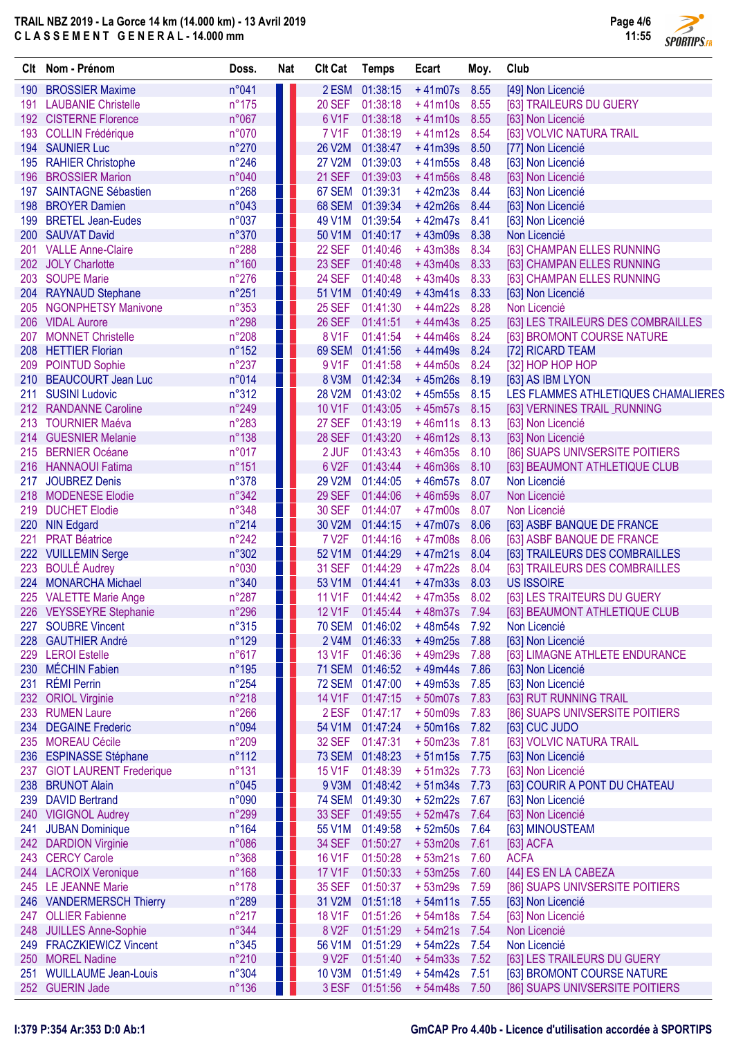

|            | Clt Nom - Prénom                                   | Doss.                   | <b>Nat</b> | <b>Clt Cat</b>     | <b>Temps</b>                | Ecart                           | Moy.         | Club                                             |
|------------|----------------------------------------------------|-------------------------|------------|--------------------|-----------------------------|---------------------------------|--------------|--------------------------------------------------|
|            | 190 BROSSIER Maxime                                | n°041                   |            |                    | 2 ESM 01:38:15              | $+41m07s$                       | 8.55         | [49] Non Licencié                                |
|            | 191 LAUBANIE Christelle                            | $n^{\circ}175$          |            | <b>20 SEF</b>      | 01:38:18                    | $+41m10s$                       | 8.55         | [63] TRAILEURS DU GUERY                          |
|            | 192 CISTERNE Florence                              | n°067                   |            | 6 V1F              | 01:38:18                    | $+41m10s$                       | 8.55         | [63] Non Licencié                                |
|            | 193 COLLIN Frédérique                              | n°070                   |            | <b>7 V1F</b>       | 01:38:19                    | $+41m12s$                       | 8.54         | [63] VOLVIC NATURA TRAIL                         |
|            | 194 SAUNIER Luc                                    | $n^{\circ}270$          |            |                    | 26 V2M 01:38:47             | $+41m39s$                       | 8.50         | [77] Non Licencié                                |
|            | 195 RAHIER Christophe                              | $n^{\circ}246$          |            | 27 V2M             | 01:39:03                    | $+41m55s$                       | 8.48         | [63] Non Licencié                                |
| 196        | <b>BROSSIER Marion</b>                             | n°040                   |            | <b>21 SEF</b>      | 01:39:03                    | $+41m56s$                       | 8.48         | [63] Non Licencié                                |
| 197        | <b>SAINTAGNE Sébastien</b>                         | $n^{\circ}268$          |            |                    | 67 SEM 01:39:31             | $+42m23s$                       | 8.44         | [63] Non Licencié                                |
| 198        | <b>BROYER Damien</b>                               | n°043                   | a pr       |                    | 68 SEM 01:39:34             | $+42m26s$                       | 8.44         | [63] Non Licencié                                |
| 199        | <b>BRETEL Jean-Eudes</b>                           | n°037                   |            | 49 V1M             | 01:39:54                    | $+42m47s$                       | 8.41         | [63] Non Licencié                                |
|            | 200 SAUVAT David                                   | n°370                   |            | 50 V1M             | 01:40:17                    | $+43m09s$                       | 8.38         | Non Licencié                                     |
| 201        | <b>VALLE Anne-Claire</b>                           | $n^{\circ}288$          |            | <b>22 SEF</b>      | 01:40:46                    | $+43m38s$                       | 8.34         | [63] CHAMPAN ELLES RUNNING                       |
|            | 202 JOLY Charlotte                                 | $n^{\circ}160$          |            | <b>23 SEF</b>      | 01:40:48                    | $+43m40s$                       | 8.33         | [63] CHAMPAN ELLES RUNNING                       |
| 203        | <b>SOUPE Marie</b>                                 | $n^{\circ}276$          |            | <b>24 SEF</b>      | 01:40:48                    | $+43m40s$                       | 8.33         | [63] CHAMPAN ELLES RUNNING                       |
|            | 204 RAYNAUD Stephane                               | $n^{\circ}251$          |            |                    | 51 V1M 01:40:49             | $+43m41s$                       | 8.33         | [63] Non Licencié                                |
| 205        | <b>NGONPHETSY Manivone</b>                         | n°353                   |            |                    | 25 SEF 01:41:30             | $+44m22s$                       | 8.28         | Non Licencié                                     |
| 206        | <b>VIDAL Aurore</b>                                | n°298                   |            |                    | 26 SEF 01:41:51             | $+44m43s$                       | 8.25         | [63] LES TRAILEURS DES COMBRAILLES               |
| 207<br>208 | <b>MONNET Christelle</b><br><b>HETTIER Florian</b> | n°208<br>$n^{\circ}152$ |            | 8 V1F              | 01:41:54<br>69 SEM 01:41:56 | $+44m46s$<br>$+44m49s$          | 8.24<br>8.24 | [63] BROMONT COURSE NATURE<br>[72] RICARD TEAM   |
| 209        | <b>POINTUD Sophie</b>                              | $n^{\circ}237$          |            | 9 V1F              | 01:41:58                    | $+44m50s$                       | 8.24         | [32] HOP HOP HOP                                 |
|            | 210 BEAUCOURT Jean Luc                             | n°014                   |            |                    | 8 V3M 01:42:34              | $+45m26s$                       | 8.19         | [63] AS IBM LYON                                 |
| 211        | <b>SUSINI Ludovic</b>                              | n°312                   | H          | <b>28 V2M</b>      | 01:43:02                    | $+45m55s$                       | 8.15         | LES FLAMMES ATHLETIQUES CHAMALIERES              |
|            | 212 RANDANNE Caroline                              | n°249                   |            | <b>10 V1F</b>      | 01:43:05                    | $+45m57s$                       | 8.15         | [63] VERNINES TRAIL RUNNING                      |
|            | 213 TOURNIER Maéva                                 | $n^{\circ}283$          |            | <b>27 SEF</b>      | 01:43:19                    | $+46m11s$                       | 8.13         | [63] Non Licencié                                |
|            | 214 GUESNIER Melanie                               | n°138                   | ш          | <b>28 SEF</b>      | 01:43:20                    | $+46m12s$                       | 8.13         | [63] Non Licencié                                |
| 215        | <b>BERNIER Océane</b>                              | n°017                   |            | 2 JUF              | 01:43:43                    | $+46m35s$                       | 8.10         | [86] SUAPS UNIVSERSITE POITIERS                  |
| 216        | <b>HANNAOUI Fatima</b>                             | $n^{\circ}151$          |            | 6 V2F              | 01:43:44                    | $+46m36s$                       | 8.10         | [63] BEAUMONT ATHLETIQUE CLUB                    |
| 217        | <b>JOUBREZ Denis</b>                               | n°378                   |            | <b>29 V2M</b>      | 01:44:05                    | $+46m57s$                       | 8.07         | Non Licencié                                     |
| 218        | <b>MODENESE Elodie</b>                             | n°342                   |            | <b>29 SEF</b>      | 01:44:06                    | $+46m59s$                       | 8.07         | Non Licencié                                     |
|            | 219 DUCHET Elodie                                  | n°348                   |            | <b>30 SEF</b>      | 01:44:07                    | $+47m00s$                       | 8.07         | Non Licencié                                     |
|            | 220 NIN Edgard                                     | $n^{\circ}214$          |            | 30 V2M             | 01:44:15                    | $+47m07s$                       | 8.06         | [63] ASBF BANQUE DE FRANCE                       |
| 221        | <b>PRAT Béatrice</b>                               | $n^{\circ}242$          |            | <b>7 V2F</b>       | 01:44:16                    | $+47m08s$                       | 8.06         | [63] ASBF BANQUE DE FRANCE                       |
|            | 222 VUILLEMIN Serge                                | n°302                   |            | 52 V1M             | 01:44:29                    | $+47m21s$                       | 8.04         | [63] TRAILEURS DES COMBRAILLES                   |
| 223        | <b>BOULÉ Audrey</b>                                | n°030                   |            | <b>31 SEF</b>      | 01:44:29                    | $+47m22s$                       | 8.04         | [63] TRAILEURS DES COMBRAILLES                   |
|            | 224 MONARCHA Michael                               | n°340                   |            | 53 V1M             | 01:44:41                    | $+47m33s$                       | 8.03         | <b>US ISSOIRE</b>                                |
| 225        | <b>VALETTE Marie Ange</b>                          | $n^{\circ}287$          |            | 11 V1F             | 01:44:42                    | $+47m35s$                       | 8.02         | [63] LES TRAITEURS DU GUERY                      |
|            | 226 VEYSSEYRE Stephanie                            | n°296                   |            |                    |                             | 12 V1F  01:45:44  +48m37s  7.94 |              | [63] BEAUMONT ATHLETIQUE CLUB                    |
|            | 227 SOUBRE Vincent                                 | $n^{\circ}315$          |            |                    | 70 SEM 01:46:02             | $+48m54s$                       | 7.92         | Non Licencié                                     |
| 228        | <b>GAUTHIER André</b>                              | n°129                   |            |                    | 2 V4M 01:46:33              | $+49m25s$                       | 7.88         | [63] Non Licencié                                |
| 229        | <b>LEROI</b> Estelle                               | n°617                   |            |                    | 13 V1F 01:46:36             | $+49m29s$                       | 7.88         | [63] LIMAGNE ATHLETE ENDURANCE                   |
| 230        | <b>MÉCHIN Fabien</b>                               | n°195                   |            |                    | 71 SEM 01:46:52             | $+49m44s$                       | 7.86         | [63] Non Licencié                                |
| 231        | <b>RÉMI Perrin</b>                                 | $n^{\circ}254$          |            |                    | 72 SEM 01:47:00             | $+49m53s$                       | 7.85         | [63] Non Licencié                                |
|            | 232 ORIOL Virginie<br>233 RUMEN Laure              | n°218<br>$n^{\circ}266$ |            | 14 V1F<br>2 ESF    | 01:47:15<br>01:47:17        | $+50m07s$<br>$+50m09s$          | 7.83<br>7.83 | [63] RUT RUNNING TRAIL                           |
|            | 234 DEGAINE Frederic                               | n°094                   |            | 54 V1M             | 01:47:24                    | $+50m16s$                       | 7.82         | [86] SUAPS UNIVSERSITE POITIERS<br>[63] CUC JUDO |
|            | 235 MOREAU Cécile                                  | n°209                   |            | <b>32 SEF</b>      | 01:47:31                    | $+50m23s$                       | 7.81         | [63] VOLVIC NATURA TRAIL                         |
|            | 236 ESPINASSE Stéphane                             | $n^{\circ}112$          |            |                    | 73 SEM 01:48:23             | $+51m15s$                       | 7.75         | [63] Non Licencié                                |
|            | 237 GIOT LAURENT Frederique                        | $n^{\circ}131$          |            | 15 V1F             | 01:48:39                    | $+51m32s$                       | 7.73         | [63] Non Licencié                                |
|            | 238 BRUNOT Alain                                   | n°045                   |            | 9 V3M              | 01:48:42                    | $+51m34s$                       | 7.73         | [63] COURIR A PONT DU CHATEAU                    |
|            | 239 DAVID Bertrand                                 | n°090                   |            |                    | 74 SEM 01:49:30             | $+52m22s$                       | 7.67         | [63] Non Licencié                                |
|            | 240 VIGIGNOL Audrey                                | n°299                   |            | 33 SEF             | 01:49:55                    | $+52m47s$                       | 7.64         | [63] Non Licencié                                |
|            | 241 JUBAN Dominique                                | $n^{\circ}164$          | 4 I        | 55 V1M             | 01:49:58                    | $+52m50s$                       | 7.64         | [63] MINOUSTEAM                                  |
|            | 242 DARDION Virginie                               | n°086                   |            | <b>34 SEF</b>      | 01:50:27                    | $+53m20s$                       | 7.61         | [63] ACFA                                        |
|            | 243 CERCY Carole                                   | n°368                   |            | <b>16 V1F</b>      | 01:50:28                    | $+53m21s$                       | 7.60         | <b>ACFA</b>                                      |
|            | 244 LACROIX Veronique                              | n°168                   |            | <b>17 V1F</b>      | 01:50:33                    | $+53m25s$                       | 7.60         | [44] ES EN LA CABEZA                             |
|            | 245 LE JEANNE Marie                                | $n^{\circ}178$          |            | <b>35 SEF</b>      | 01:50:37                    | $+53m29s$                       | 7.59         | [86] SUAPS UNIVSERSITE POITIERS                  |
|            | 246 VANDERMERSCH Thierry                           | n°289                   |            | 31 V2M             | 01:51:18                    | $+54m11s$                       | 7.55         | [63] Non Licencié                                |
|            | 247 OLLIER Fabienne                                | $n^{\circ}217$          |            | 18 V1F             | 01:51:26                    | $+54m18s$                       | 7.54         | [63] Non Licencié                                |
|            | 248 JUILLES Anne-Sophie                            | n°344                   |            | 8 V <sub>2</sub> F | 01:51:29                    | $+54m21s$                       | 7.54         | Non Licencié                                     |
|            | 249 FRACZKIEWICZ Vincent                           | n°345                   |            | 56 V1M             | 01:51:29                    | $+54m22s$                       | 7.54         | Non Licencié                                     |
|            | 250 MOREL Nadine                                   | $n^{\circ}210$          |            | 9 V <sub>2</sub> F | 01:51:40                    | $+54m33s$                       | 7.52         | [63] LES TRAILEURS DU GUERY                      |
|            | 251 WUILLAUME Jean-Louis                           | n°304                   |            | <b>10 V3M</b>      | 01:51:49                    | $+54m42s$                       | 7.51         | [63] BROMONT COURSE NATURE                       |
|            | 252 GUERIN Jade                                    | $n^{\circ}136$          | ш          |                    | 3 ESF 01:51:56              | $+54m48s$                       | 7.50         | [86] SUAPS UNIVSERSITE POITIERS                  |

### I:379 P:354 Ar:353 D:0 Ab:1 GmCAP Pro 4.40b - Licence d'utilisation accordée à SPORTIPS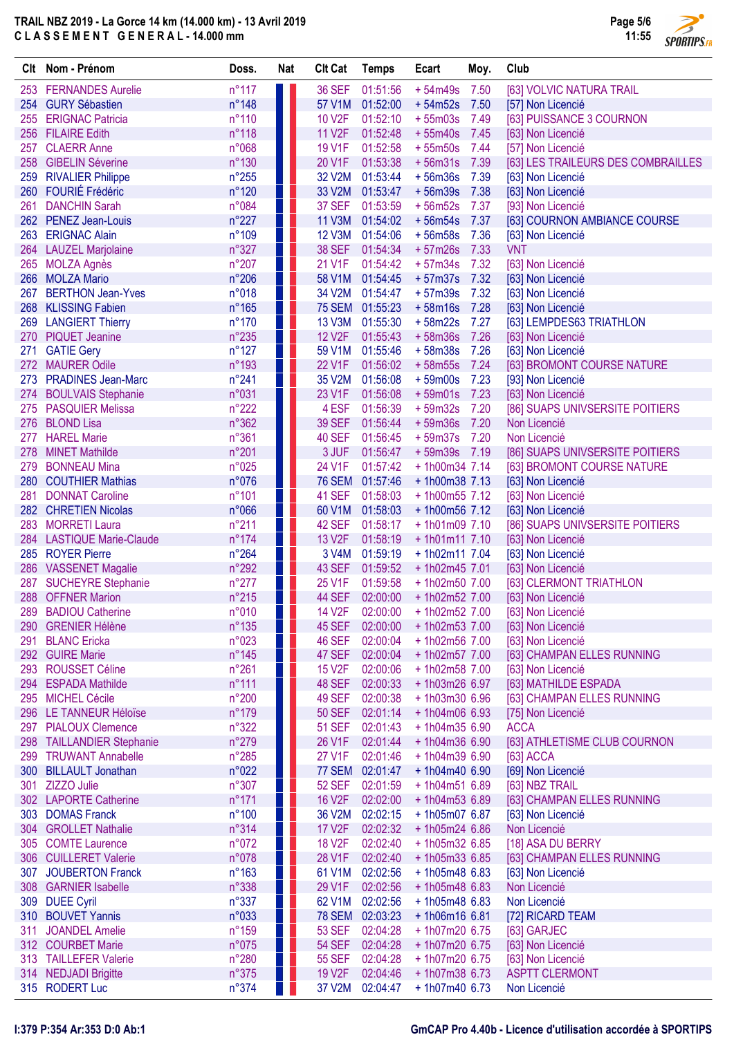

|            | Clt Nom - Prénom                               | Doss.                   | <b>Nat</b> | <b>Clt Cat</b>                 | <b>Temps</b>         | Ecart                            | Moy.         | Club                                                 |
|------------|------------------------------------------------|-------------------------|------------|--------------------------------|----------------------|----------------------------------|--------------|------------------------------------------------------|
|            | 253 FERNANDES Aurelie                          | $n^{\circ}117$          | ш          | <b>36 SEF</b>                  | 01:51:56             | $+54m49s$                        | 7.50         | [63] VOLVIC NATURA TRAIL                             |
|            | 254 GURY Sébastien                             | n°148                   |            | 57 V1M                         | 01:52:00             | $+54m52s$                        | 7.50         | [57] Non Licencié                                    |
| 255        | <b>ERIGNAC Patricia</b>                        | n°110                   | ш          | 10 V2F                         | 01:52:10             | $+55m03s$                        | 7.49         | [63] PUISSANCE 3 COURNON                             |
| 256        | <b>FILAIRE Edith</b>                           | n°118                   |            | <b>11 V2F</b>                  | 01:52:48             | $+55m40s$                        | 7.45         | [63] Non Licencié                                    |
| 257        | <b>CLAERR Anne</b>                             | n°068                   | ш          | <b>19 V1F</b>                  | 01:52:58             | $+55m50s$                        | 7.44         | [57] Non Licencié                                    |
|            | 258 GIBELIN Séverine                           | n°130                   |            | 20 V1F                         | 01:53:38             | $+56m31s$                        | 7.39         | [63] LES TRAILEURS DES COMBRAILLES                   |
| 259        | <b>RIVALIER Philippe</b>                       | $n^{\circ}255$          | H.         | 32 V2M                         | 01:53:44             | $+56m36s$                        | 7.39         | [63] Non Licencié                                    |
| 260        | FOURIÉ Frédéric                                | n°120                   | Ш          | 33 V2M                         | 01:53:47             | $+56m39s$                        | 7.38         | [63] Non Licencié                                    |
| 261        | <b>DANCHIN Sarah</b>                           | n°084                   | H.         | 37 SEF                         | 01:53:59             | $+56m52s$                        | 7.37         | [93] Non Licencié                                    |
|            | 262 PENEZ Jean-Louis                           | $n^{\circ}227$          | H.         | <b>11 V3M</b>                  | 01:54:02             | $+56m54s$                        | 7.37         | [63] COURNON AMBIANCE COURSE                         |
| 263        | <b>ERIGNAC Alain</b>                           | n°109                   | w<br>a k   | <b>12 V3M</b>                  | 01:54:06             | $+56m58s$                        | 7.36         | [63] Non Licencié                                    |
|            | 264 LAUZEL Marjolaine                          | n°327                   |            | <b>38 SEF</b>                  | 01:54:34             | $+57m26s$                        | 7.33         | <b>VNT</b>                                           |
| 265<br>266 | <b>MOLZA Agnès</b><br><b>MOLZA Mario</b>       | n°207<br>$n^{\circ}206$ | ш<br>H.    | 21 V1F<br>58 V1M               | 01:54:42<br>01:54:45 | $+57m34s$<br>$+57m37s$           | 7.32<br>7.32 | [63] Non Licencié<br>[63] Non Licencié               |
| 267        | <b>BERTHON Jean-Yves</b>                       | n°018                   | ш          | 34 V2M                         | 01:54:47             | $+57m39s$                        | 7.32         | [63] Non Licencié                                    |
|            | 268 KLISSING Fabien                            | $n^{\circ}165$          | Ш          | <b>75 SEM</b>                  | 01:55:23             | $+58m16s$                        | 7.28         | [63] Non Licencié                                    |
|            | 269 LANGIERT Thierry                           | $n^{\circ}170$          | . .        | <b>13 V3M</b>                  | 01:55:30             | $+58m22s$                        | 7.27         | [63] LEMPDES63 TRIATHLON                             |
|            | 270 PIQUET Jeanine                             | $n^{\circ}235$          | H.         | <b>12 V2F</b>                  | 01:55:43             | $+58m36s$                        | 7.26         | [63] Non Licencié                                    |
| 271        | <b>GATIE Gery</b>                              | $n^{\circ}127$          | ш          | 59 V1M                         | 01:55:46             | $+58m38s$                        | 7.26         | [63] Non Licencié                                    |
|            | 272 MAURER Odile                               | n°193                   |            | 22 V1F                         | 01:56:02             | $+58m55s$                        | 7.24         | [63] BROMONT COURSE NATURE                           |
| 273        | <b>PRADINES Jean-Marc</b>                      | n°241                   | ш          | 35 V2M                         | 01:56:08             | $+59m00s$                        | 7.23         | [93] Non Licencié                                    |
| 274        | <b>BOULVAIS Stephanie</b>                      | n°031                   |            | 23 V1F                         | 01:56:08             | $+59m01s$                        | 7.23         | [63] Non Licencié                                    |
| 275        | <b>PASQUIER Melissa</b>                        | $n^{\circ}222$          |            | 4 ESF                          | 01:56:39             | $+59m32s$                        | 7.20         | [86] SUAPS UNIVSERSITE POITIERS                      |
| 276        | <b>BLOND Lisa</b>                              | n°362                   | ш          | <b>39 SEF</b>                  | 01:56:44             | $+59m36s$                        | 7.20         | Non Licencié                                         |
| 277        | <b>HAREL Marie</b>                             | n°361                   |            | <b>40 SEF</b>                  | 01:56:45             | $+59m37s$                        | 7.20         | Non Licencié                                         |
| 278        | <b>MINET Mathilde</b>                          | n°201                   | . .        | 3 JUF                          | 01:56:47             | $+59m39s$                        | 7.19         | [86] SUAPS UNIVSERSITE POITIERS                      |
| 279        | <b>BONNEAU Mina</b>                            | n°025                   | H.         | 24 V1F                         | 01:57:42             | $+1h00m347.14$                   |              | [63] BROMONT COURSE NATURE                           |
|            | 280 COUTHIER Mathias                           | n°076                   | w          | <b>76 SEM</b>                  | 01:57:46             | $+1h00m38$ 7.13                  |              | [63] Non Licencié                                    |
| 281        | <b>DONNAT Caroline</b>                         | $n^{\circ}101$          | ш          | <b>41 SEF</b>                  | 01:58:03             | +1h00m55 7.12                    |              | [63] Non Licencié                                    |
|            | 282 CHRETIEN Nicolas<br>283 MORRETI Laura      | n°066<br>n°211          | ш          | 60 V1M<br>42 SEF               | 01:58:03<br>01:58:17 | +1h00m56 7.12<br>$+1h01m09$ 7.10 |              | [63] Non Licencié                                    |
|            | 284 LASTIQUE Marie-Claude                      | $n^{\circ}$ 174         |            | 13 V <sub>2F</sub>             | 01:58:19             | $+1h01m117.10$                   |              | [86] SUAPS UNIVSERSITE POITIERS<br>[63] Non Licencié |
|            | 285 ROYER Pierre                               | $n^{\circ}264$          | H.         | 3 V4M                          | 01:59:19             | $+1h02m117.04$                   |              | [63] Non Licencié                                    |
|            | 286 VASSENET Magalie                           | n°292                   | T L        | 43 SEF                         | 01:59:52             | +1h02m45 7.01                    |              | [63] Non Licencié                                    |
| 287        | <b>SUCHEYRE Stephanie</b>                      | $n^{\circ}277$          | . .        | 25 V1F                         | 01:59:58             | +1h02m50 7.00                    |              | [63] CLERMONT TRIATHLON                              |
|            | 288 OFFNER Marion                              | n°215                   |            | 44 SEF                         | 02:00:00             | + 1h02m52 7.00                   |              | [63] Non Licencié                                    |
|            | 289 BADIOU Catherine                           | n°010                   |            |                                | 14 V2F 02:00:00      | $+1h02m52$ 7.00                  |              | [63] Non Licencié                                    |
|            | 290 GRENIER Hélène                             | $n^{\circ}135$          |            | 45 SEF                         | 02:00:00             | + 1h02m53 7.00                   |              | [63] Non Licencié                                    |
| 291        | <b>BLANC</b> Ericka                            | n°023                   |            | <b>46 SEF</b>                  | 02:00:04             | + 1h02m56 7.00                   |              | [63] Non Licencié                                    |
|            | 292 GUIRE Marie                                | $n^{\circ}145$          | w          | 47 SEF                         | 02:00:04             | $+1h02m577.00$                   |              | [63] CHAMPAN ELLES RUNNING                           |
|            | 293 ROUSSET Céline                             | n°261                   | . .        | <b>15 V2F</b>                  | 02:00:06             | + 1h02m58 7.00                   |              | [63] Non Licencié                                    |
|            | 294 ESPADA Mathilde                            | $n^{\circ}111$          | W          | 48 SEF                         | 02:00:33             | +1h03m26 6.97                    |              | [63] MATHILDE ESPADA                                 |
|            | 295 MICHEL Cécile                              | n°200                   | w          | 49 SEF                         | 02:00:38             | $+1h03m306.96$                   |              | [63] CHAMPAN ELLES RUNNING                           |
|            | 296 LE TANNEUR Héloïse<br>297 PIALOUX Clemence | $n^{\circ}179$<br>n°322 |            | <b>50 SEF</b><br><b>51 SEF</b> | 02:01:14<br>02:01:43 | $+1h04m066.93$<br>$+1h04m356.90$ |              | [75] Non Licencié<br><b>ACCA</b>                     |
|            | 298 TAILLANDIER Stephanie                      | $n^{\circ}279$          |            | 26 V1F                         | 02:01:44             | $+1h04m366.90$                   |              | [63] ATHLETISME CLUB COURNON                         |
|            | 299 TRUWANT Annabelle                          | $n^{\circ}285$          |            | 27 V1F                         | 02:01:46             | $+1h04m396.90$                   |              | [63] ACCA                                            |
|            | 300 BILLAULT Jonathan                          | n°022                   | . .        | 77 SEM                         | 02:01:47             | $+1h04m406.90$                   |              | [69] Non Licencié                                    |
|            | 301 ZIZZO Julie                                | n°307                   |            | <b>52 SEF</b>                  | 02:01:59             | $+1h04m516.89$                   |              | [63] NBZ TRAIL                                       |
|            | 302 LAPORTE Catherine                          | $n^{\circ}$ 171         |            | 16 V <sub>2F</sub>             | 02:02:00             | $+1h04m536.89$                   |              | [63] CHAMPAN ELLES RUNNING                           |
|            | 303 DOMAS Franck                               | n°100                   | w          | 36 V2M                         | 02:02:15             | $+1h05m076.87$                   |              | [63] Non Licencié                                    |
|            | 304 GROLLET Nathalie                           | n°314                   | U          | <b>17 V2F</b>                  | 02:02:32             | $+1h05m246.86$                   |              | Non Licencié                                         |
|            | 305 COMTE Laurence                             | n°072                   | . .        | <b>18 V2F</b>                  | 02:02:40             | $+1h05m326.85$                   |              | [18] ASA DU BERRY                                    |
|            | 306 CUILLERET Valerie                          | n°078                   | U          | 28 V1F                         | 02:02:40             | $+1h05m336.85$                   |              | [63] CHAMPAN ELLES RUNNING                           |
|            | 307 JOUBERTON Franck                           | $n^{\circ}163$          |            | 61 V1M                         | 02:02:56             | $+1h05m486.83$                   |              | [63] Non Licencié                                    |
|            | 308 GARNIER Isabelle                           | n°338                   | ш          | 29 V1F                         | 02:02:56             | $+1h05m486.83$                   |              | Non Licencié                                         |
|            | 309 DUEE Cyril                                 | n°337                   | H.         | 62 V1M                         | 02:02:56             | $+1h05m486.83$                   |              | Non Licencié                                         |
|            | 310 BOUVET Yannis                              | n°033                   | T E        | <b>78 SEM</b>                  | 02:03:23             | $+1h06m166.81$                   |              | [72] RICARD TEAM                                     |
| 311        | <b>JOANDEL Amelie</b>                          | n°159                   |            | <b>53 SEF</b>                  | 02:04:28             | $+1h07m20$ 6.75                  |              | [63] GARJEC                                          |
|            | 312 COURBET Marie<br>313 TAILLEFER Valerie     | n°075<br>n°280          | H.<br>ш    | <b>54 SEF</b><br><b>55 SEF</b> | 02:04:28<br>02:04:28 | +1h07m20 6.75<br>$+1h07m20$ 6.75 |              | [63] Non Licencié<br>[63] Non Licencié               |
|            | 314 NEDJADI Brigitte                           | n°375                   | ш          | 19 V2F                         | 02:04:46             | $+1h07m386.73$                   |              | <b>ASPTT CLERMONT</b>                                |
|            | 315 RODERT Luc                                 | n°374                   | Ш          | 37 V2M                         | 02:04:47             | $+1h07m406.73$                   |              | Non Licencié                                         |
|            |                                                |                         |            |                                |                      |                                  |              |                                                      |

### I:379 P:354 Ar:353 D:0 Ab:1 GmCAP Pro 4.40b - Licence d'utilisation accordée à SPORTIPS